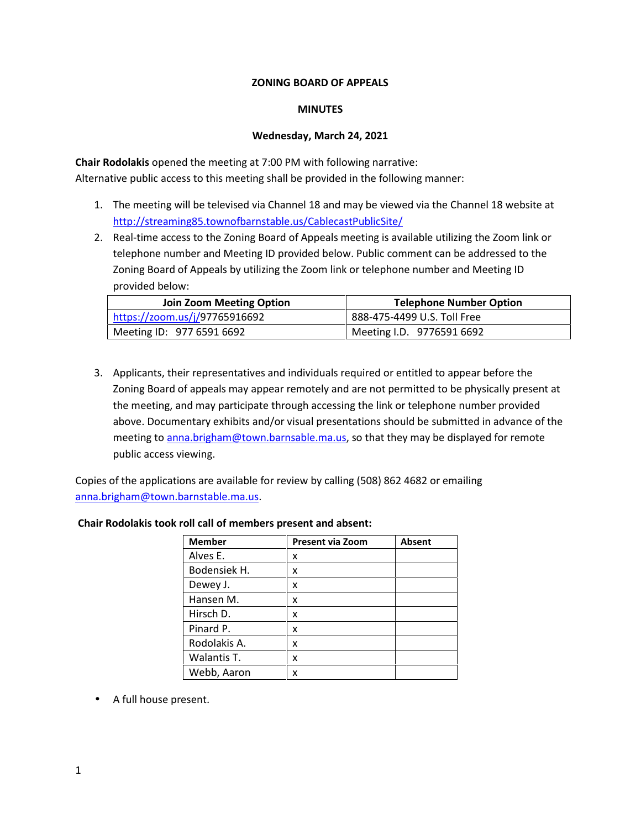# **ZONING BOARD OF APPEALS**

### **MINUTES**

# **Wednesday, March 24, 2021**

**Chair Rodolakis** opened the meeting at 7:00 PM with following narrative: Alternative public access to this meeting shall be provided in the following manner:

- 1. The meeting will be televised via Channel 18 and may be viewed via the Channel 18 website at http://streaming85.townofbarnstable.us/CablecastPublicSite/
- 2. Real-time access to the Zoning Board of Appeals meeting is available utilizing the Zoom link or telephone number and Meeting ID provided below. Public comment can be addressed to the Zoning Board of Appeals by utilizing the Zoom link or telephone number and Meeting ID provided below:

| <b>Join Zoom Meeting Option</b> | <b>Telephone Number Option</b> |
|---------------------------------|--------------------------------|
| https://zoom.us/j/97765916692   | 888-475-4499 U.S. Toll Free    |
| Meeting ID: $97765916692$       | Meeting I.D. 9776591 6692      |

3. Applicants, their representatives and individuals required or entitled to appear before the Zoning Board of appeals may appear remotely and are not permitted to be physically present at the meeting, and may participate through accessing the link or telephone number provided above. Documentary exhibits and/or visual presentations should be submitted in advance of the meeting to anna.brigham@town.barnsable.ma.us, so that they may be displayed for remote public access viewing.

Copies of the applications are available for review by calling (508) 862 4682 or emailing anna.brigham@town.barnstable.ma.us.

| <b>Member</b> | <b>Present via Zoom</b> | <b>Absent</b> |
|---------------|-------------------------|---------------|
| Alves E.      | x                       |               |
| Bodensiek H.  | x                       |               |
| Dewey J.      | x                       |               |
| Hansen M.     | x                       |               |
| Hirsch D.     | x                       |               |
| Pinard P.     | x                       |               |
| Rodolakis A.  | x                       |               |
| Walantis T.   | x                       |               |
| Webb, Aaron   | x                       |               |

# **Chair Rodolakis took roll call of members present and absent:**

A full house present.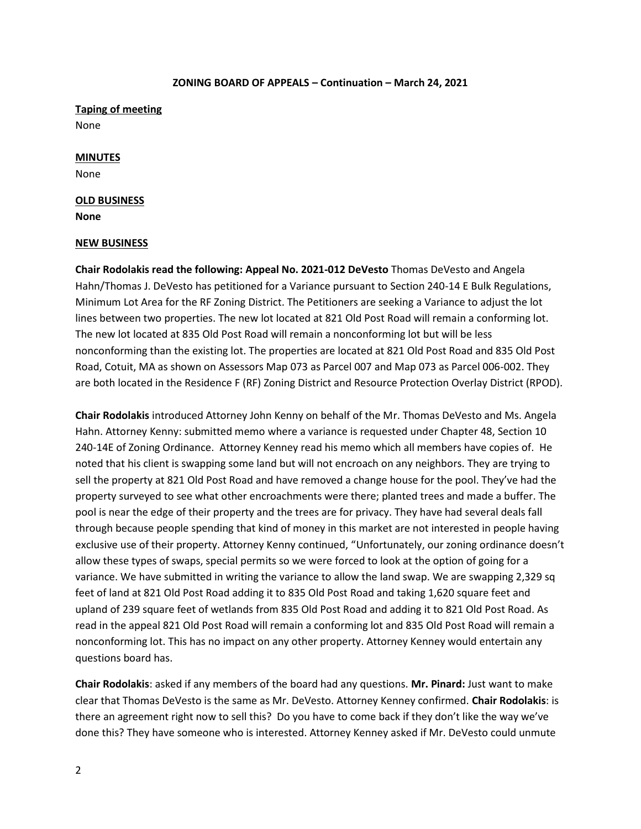**Taping of meeting** None

### **MINUTES**

None

#### **OLD BUSINESS**

**None**

#### **NEW BUSINESS**

**Chair Rodolakis read the following: Appeal No. 2021-012 DeVesto** Thomas DeVesto and Angela Hahn/Thomas J. DeVesto has petitioned for a Variance pursuant to Section 240-14 E Bulk Regulations, Minimum Lot Area for the RF Zoning District. The Petitioners are seeking a Variance to adjust the lot lines between two properties. The new lot located at 821 Old Post Road will remain a conforming lot. The new lot located at 835 Old Post Road will remain a nonconforming lot but will be less nonconforming than the existing lot. The properties are located at 821 Old Post Road and 835 Old Post Road, Cotuit, MA as shown on Assessors Map 073 as Parcel 007 and Map 073 as Parcel 006-002. They are both located in the Residence F (RF) Zoning District and Resource Protection Overlay District (RPOD).

**Chair Rodolakis** introduced Attorney John Kenny on behalf of the Mr. Thomas DeVesto and Ms. Angela Hahn. Attorney Kenny: submitted memo where a variance is requested under Chapter 48, Section 10 240-14E of Zoning Ordinance. Attorney Kenney read his memo which all members have copies of. He noted that his client is swapping some land but will not encroach on any neighbors. They are trying to sell the property at 821 Old Post Road and have removed a change house for the pool. They've had the property surveyed to see what other encroachments were there; planted trees and made a buffer. The pool is near the edge of their property and the trees are for privacy. They have had several deals fall through because people spending that kind of money in this market are not interested in people having exclusive use of their property. Attorney Kenny continued, "Unfortunately, our zoning ordinance doesn't allow these types of swaps, special permits so we were forced to look at the option of going for a variance. We have submitted in writing the variance to allow the land swap. We are swapping 2,329 sq feet of land at 821 Old Post Road adding it to 835 Old Post Road and taking 1,620 square feet and upland of 239 square feet of wetlands from 835 Old Post Road and adding it to 821 Old Post Road. As read in the appeal 821 Old Post Road will remain a conforming lot and 835 Old Post Road will remain a nonconforming lot. This has no impact on any other property. Attorney Kenney would entertain any questions board has.

**Chair Rodolakis**: asked if any members of the board had any questions. **Mr. Pinard:** Just want to make clear that Thomas DeVesto is the same as Mr. DeVesto. Attorney Kenney confirmed. **Chair Rodolakis**: is there an agreement right now to sell this? Do you have to come back if they don't like the way we've done this? They have someone who is interested. Attorney Kenney asked if Mr. DeVesto could unmute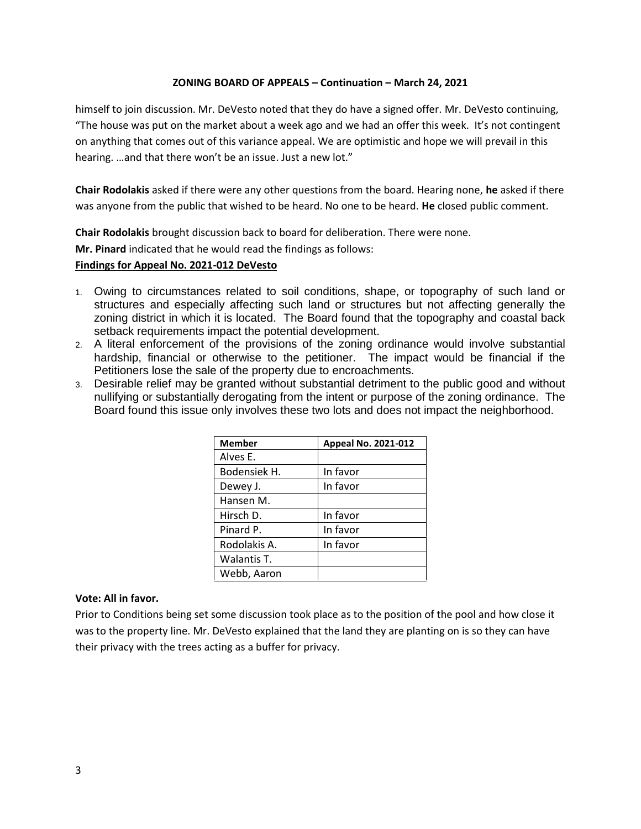himself to join discussion. Mr. DeVesto noted that they do have a signed offer. Mr. DeVesto continuing, "The house was put on the market about a week ago and we had an offer this week. It's not contingent on anything that comes out of this variance appeal. We are optimistic and hope we will prevail in this hearing. …and that there won't be an issue. Just a new lot."

**Chair Rodolakis** asked if there were any other questions from the board. Hearing none, **he** asked if there was anyone from the public that wished to be heard. No one to be heard. **He** closed public comment.

**Chair Rodolakis** brought discussion back to board for deliberation. There were none.

**Mr. Pinard** indicated that he would read the findings as follows:

## **Findings for Appeal No. 2021-012 DeVesto**

- 1. Owing to circumstances related to soil conditions, shape, or topography of such land or structures and especially affecting such land or structures but not affecting generally the zoning district in which it is located. The Board found that the topography and coastal back setback requirements impact the potential development.
- 2. A literal enforcement of the provisions of the zoning ordinance would involve substantial hardship, financial or otherwise to the petitioner. The impact would be financial if the Petitioners lose the sale of the property due to encroachments.
- 3. Desirable relief may be granted without substantial detriment to the public good and without nullifying or substantially derogating from the intent or purpose of the zoning ordinance. The Board found this issue only involves these two lots and does not impact the neighborhood.

| <b>Member</b> | Appeal No. 2021-012 |
|---------------|---------------------|
| Alves E.      |                     |
| Bodensiek H.  | In favor            |
| Dewey J.      | In favor            |
| Hansen M.     |                     |
| Hirsch D.     | In favor            |
| Pinard P.     | In favor            |
| Rodolakis A.  | In favor            |
| Walantis T.   |                     |
| Webb, Aaron   |                     |

### **Vote: All in favor.**

Prior to Conditions being set some discussion took place as to the position of the pool and how close it was to the property line. Mr. DeVesto explained that the land they are planting on is so they can have their privacy with the trees acting as a buffer for privacy.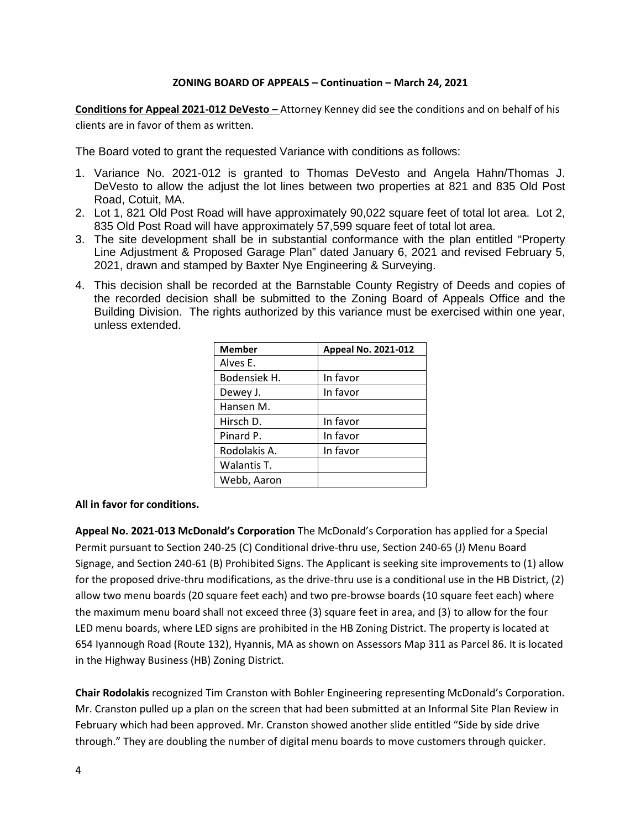**Conditions for Appeal 2021-012 DeVesto –** Attorney Kenney did see the conditions and on behalf of his clients are in favor of them as written.

The Board voted to grant the requested Variance with conditions as follows:

- 1. Variance No. 2021-012 is granted to Thomas DeVesto and Angela Hahn/Thomas J. DeVesto to allow the adjust the lot lines between two properties at 821 and 835 Old Post Road, Cotuit, MA.
- 2. Lot 1, 821 Old Post Road will have approximately 90,022 square feet of total lot area. Lot 2, 835 Old Post Road will have approximately 57,599 square feet of total lot area.
- 3. The site development shall be in substantial conformance with the plan entitled "Property Line Adjustment & Proposed Garage Plan" dated January 6, 2021 and revised February 5, 2021, drawn and stamped by Baxter Nye Engineering & Surveying.
- 4. This decision shall be recorded at the Barnstable County Registry of Deeds and copies of the recorded decision shall be submitted to the Zoning Board of Appeals Office and the Building Division. The rights authorized by this variance must be exercised within one year, unless extended.

| <b>Member</b> | <b>Appeal No. 2021-012</b> |
|---------------|----------------------------|
| Alves E.      |                            |
| Bodensiek H.  | In favor                   |
| Dewey J.      | In favor                   |
| Hansen M.     |                            |
| Hirsch D.     | In favor                   |
| Pinard P.     | In favor                   |
| Rodolakis A.  | In favor                   |
| Walantis T.   |                            |
| Webb, Aaron   |                            |

### **All in favor for conditions.**

**Appeal No. 2021-013 McDonald's Corporation** The McDonald's Corporation has applied for a Special Permit pursuant to Section 240-25 (C) Conditional drive-thru use, Section 240-65 (J) Menu Board Signage, and Section 240-61 (B) Prohibited Signs. The Applicant is seeking site improvements to (1) allow for the proposed drive-thru modifications, as the drive-thru use is a conditional use in the HB District, (2) allow two menu boards (20 square feet each) and two pre-browse boards (10 square feet each) where the maximum menu board shall not exceed three (3) square feet in area, and (3) to allow for the four LED menu boards, where LED signs are prohibited in the HB Zoning District. The property is located at 654 Iyannough Road (Route 132), Hyannis, MA as shown on Assessors Map 311 as Parcel 86. It is located in the Highway Business (HB) Zoning District.

**Chair Rodolakis** recognized Tim Cranston with Bohler Engineering representing McDonald's Corporation. Mr. Cranston pulled up a plan on the screen that had been submitted at an Informal Site Plan Review in February which had been approved. Mr. Cranston showed another slide entitled "Side by side drive through." They are doubling the number of digital menu boards to move customers through quicker.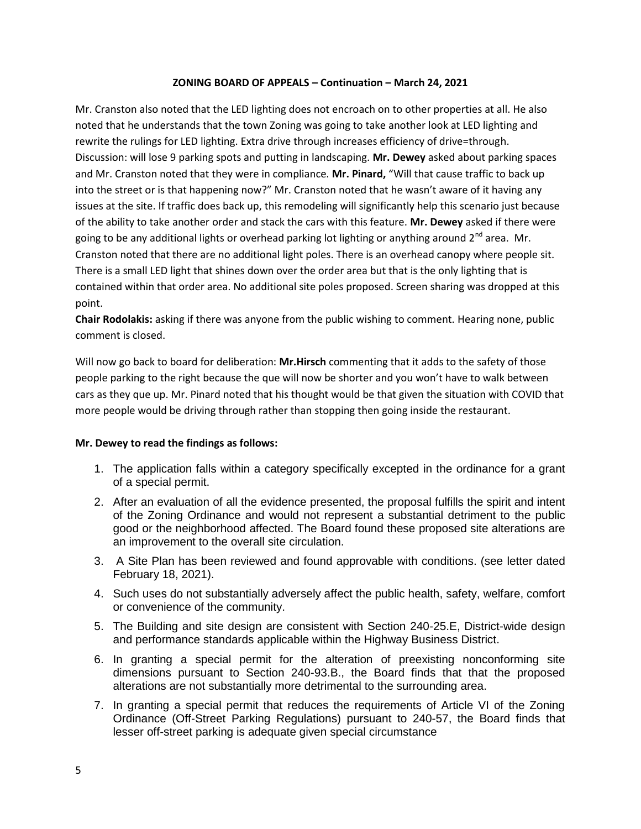Mr. Cranston also noted that the LED lighting does not encroach on to other properties at all. He also noted that he understands that the town Zoning was going to take another look at LED lighting and rewrite the rulings for LED lighting. Extra drive through increases efficiency of drive=through. Discussion: will lose 9 parking spots and putting in landscaping. **Mr. Dewey** asked about parking spaces and Mr. Cranston noted that they were in compliance. **Mr. Pinard,** "Will that cause traffic to back up into the street or is that happening now?" Mr. Cranston noted that he wasn't aware of it having any issues at the site. If traffic does back up, this remodeling will significantly help this scenario just because of the ability to take another order and stack the cars with this feature. **Mr. Dewey** asked if there were going to be any additional lights or overhead parking lot lighting or anything around  $2<sup>nd</sup>$  area. Mr. Cranston noted that there are no additional light poles. There is an overhead canopy where people sit. There is a small LED light that shines down over the order area but that is the only lighting that is contained within that order area. No additional site poles proposed. Screen sharing was dropped at this point.

**Chair Rodolakis:** asking if there was anyone from the public wishing to comment. Hearing none, public comment is closed.

Will now go back to board for deliberation: **Mr.Hirsch** commenting that it adds to the safety of those people parking to the right because the que will now be shorter and you won't have to walk between cars as they que up. Mr. Pinard noted that his thought would be that given the situation with COVID that more people would be driving through rather than stopping then going inside the restaurant.

# **Mr. Dewey to read the findings as follows:**

- 1. The application falls within a category specifically excepted in the ordinance for a grant of a special permit.
- 2. After an evaluation of all the evidence presented, the proposal fulfills the spirit and intent of the Zoning Ordinance and would not represent a substantial detriment to the public good or the neighborhood affected. The Board found these proposed site alterations are an improvement to the overall site circulation.
- 3. A Site Plan has been reviewed and found approvable with conditions. (see letter dated February 18, 2021).
- 4. Such uses do not substantially adversely affect the public health, safety, welfare, comfort or convenience of the community.
- 5. The Building and site design are consistent with Section 240-25.E, District-wide design and performance standards applicable within the Highway Business District.
- 6. In granting a special permit for the alteration of preexisting nonconforming site dimensions pursuant to Section 240-93.B., the Board finds that that the proposed alterations are not substantially more detrimental to the surrounding area.
- 7. In granting a special permit that reduces the requirements of Article VI of the Zoning Ordinance (Off-Street Parking Regulations) pursuant to 240-57, the Board finds that lesser off-street parking is adequate given special circumstance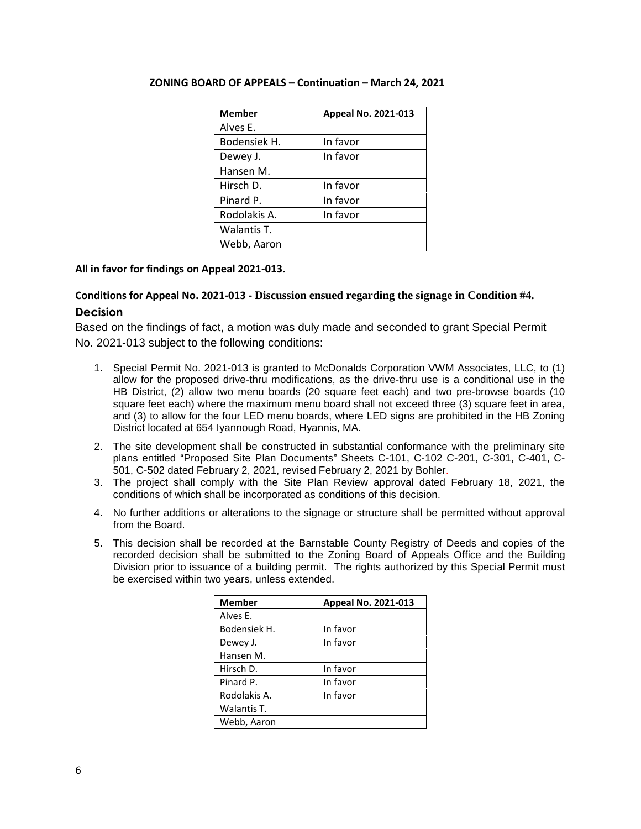| <b>Member</b> | Appeal No. 2021-013 |
|---------------|---------------------|
| Alves E.      |                     |
| Bodensiek H.  | In favor            |
| Dewey J.      | In favor            |
| Hansen M.     |                     |
| Hirsch D.     | In favor            |
| Pinard P.     | In favor            |
| Rodolakis A.  | In favor            |
| Walantis T.   |                     |
| Webb, Aaron   |                     |

# **All in favor for findings on Appeal 2021-013.**

# **Conditions for Appeal No. 2021-013 - Discussion ensued regarding the signage in Condition #4. Decision**

Based on the findings of fact, a motion was duly made and seconded to grant Special Permit No. 2021-013 subject to the following conditions:

- 1. Special Permit No. 2021-013 is granted to McDonalds Corporation VWM Associates, LLC, to (1) allow for the proposed drive-thru modifications, as the drive-thru use is a conditional use in the HB District, (2) allow two menu boards (20 square feet each) and two pre-browse boards (10 square feet each) where the maximum menu board shall not exceed three (3) square feet in area, and (3) to allow for the four LED menu boards, where LED signs are prohibited in the HB Zoning District located at 654 Iyannough Road, Hyannis, MA.
- 2. The site development shall be constructed in substantial conformance with the preliminary site plans entitled "Proposed Site Plan Documents" Sheets C-101, C-102 C-201, C-301, C-401, C- 501, C-502 dated February 2, 2021, revised February 2, 2021 by Bohler.
- 3. The project shall comply with the Site Plan Review approval dated February 18, 2021, the conditions of which shall be incorporated as conditions of this decision.
- 4. No further additions or alterations to the signage or structure shall be permitted without approval from the Board.
- 5. This decision shall be recorded at the Barnstable County Registry of Deeds and copies of the recorded decision shall be submitted to the Zoning Board of Appeals Office and the Building Division prior to issuance of a building permit. The rights authorized by this Special Permit must be exercised within two years, unless extended.

| <b>Member</b> | Appeal No. 2021-013 |
|---------------|---------------------|
| Alves E.      |                     |
| Bodensiek H.  | In favor            |
| Dewey J.      | In favor            |
| Hansen M.     |                     |
| Hirsch D.     | In favor            |
| Pinard P.     | In favor            |
| Rodolakis A.  | In favor            |
| Walantis T.   |                     |
| Webb, Aaron   |                     |